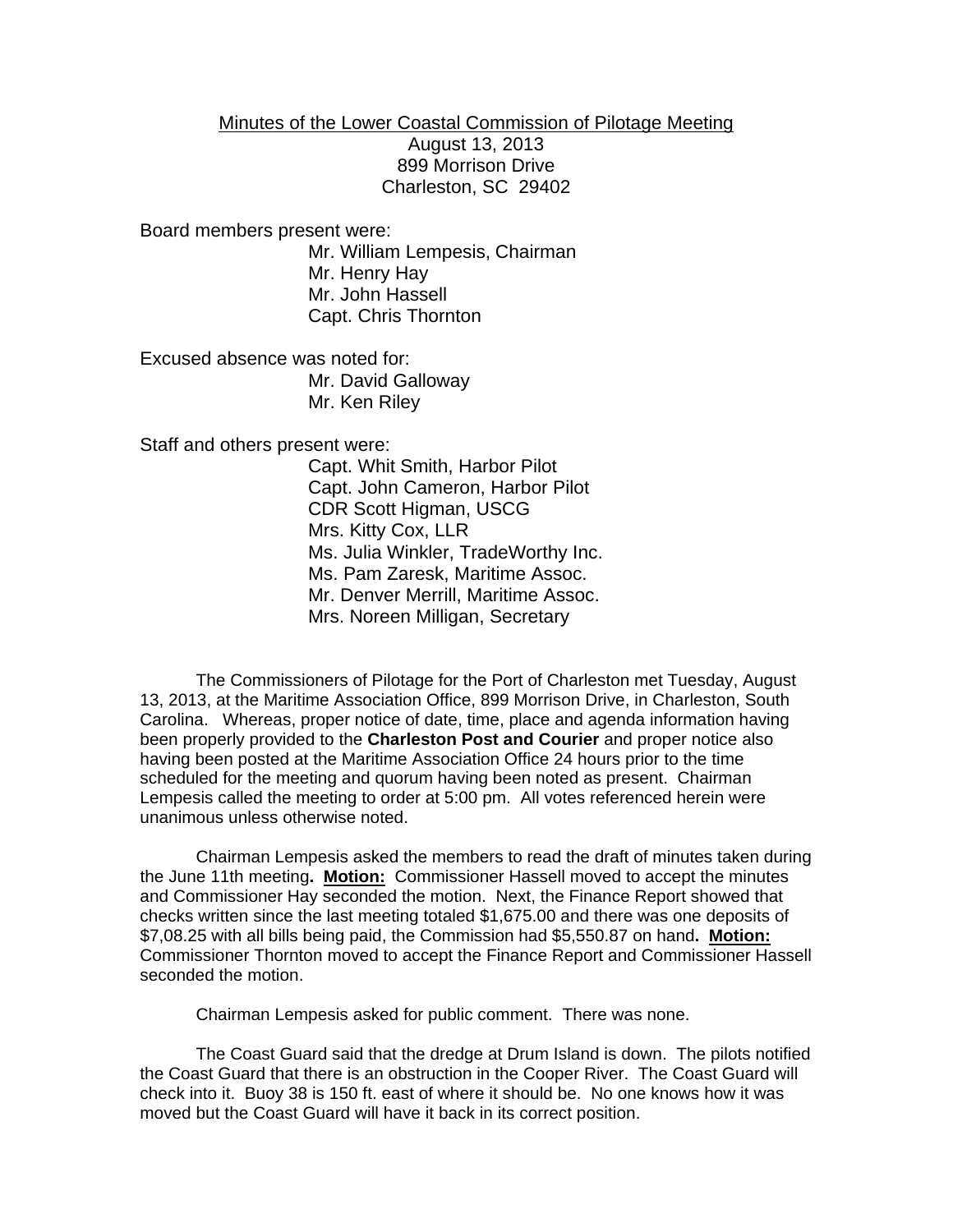## Minutes of the Lower Coastal Commission of Pilotage Meeting

August 13, 2013 899 Morrison Drive Charleston, SC 29402

Board members present were:

Mr. William Lempesis, Chairman Mr. Henry Hay Mr. John Hassell Capt. Chris Thornton

Excused absence was noted for: Mr. David Galloway Mr. Ken Riley

Staff and others present were:

Capt. Whit Smith, Harbor Pilot Capt. John Cameron, Harbor Pilot CDR Scott Higman, USCG Mrs. Kitty Cox, LLR Ms. Julia Winkler, TradeWorthy Inc. Ms. Pam Zaresk, Maritime Assoc. Mr. Denver Merrill, Maritime Assoc. Mrs. Noreen Milligan, Secretary

The Commissioners of Pilotage for the Port of Charleston met Tuesday, August 13, 2013, at the Maritime Association Office, 899 Morrison Drive, in Charleston, South Carolina. Whereas, proper notice of date, time, place and agenda information having been properly provided to the **Charleston Post and Courier** and proper notice also having been posted at the Maritime Association Office 24 hours prior to the time scheduled for the meeting and quorum having been noted as present. Chairman Lempesis called the meeting to order at 5:00 pm. All votes referenced herein were unanimous unless otherwise noted.

Chairman Lempesis asked the members to read the draft of minutes taken during the June 11th meeting**. Motion:** Commissioner Hassell moved to accept the minutes and Commissioner Hay seconded the motion. Next, the Finance Report showed that checks written since the last meeting totaled \$1,675.00 and there was one deposits of \$7,08.25 with all bills being paid, the Commission had \$5,550.87 on hand**. Motion:** Commissioner Thornton moved to accept the Finance Report and Commissioner Hassell seconded the motion.

Chairman Lempesis asked for public comment. There was none.

The Coast Guard said that the dredge at Drum Island is down. The pilots notified the Coast Guard that there is an obstruction in the Cooper River. The Coast Guard will check into it. Buoy 38 is 150 ft. east of where it should be. No one knows how it was moved but the Coast Guard will have it back in its correct position.